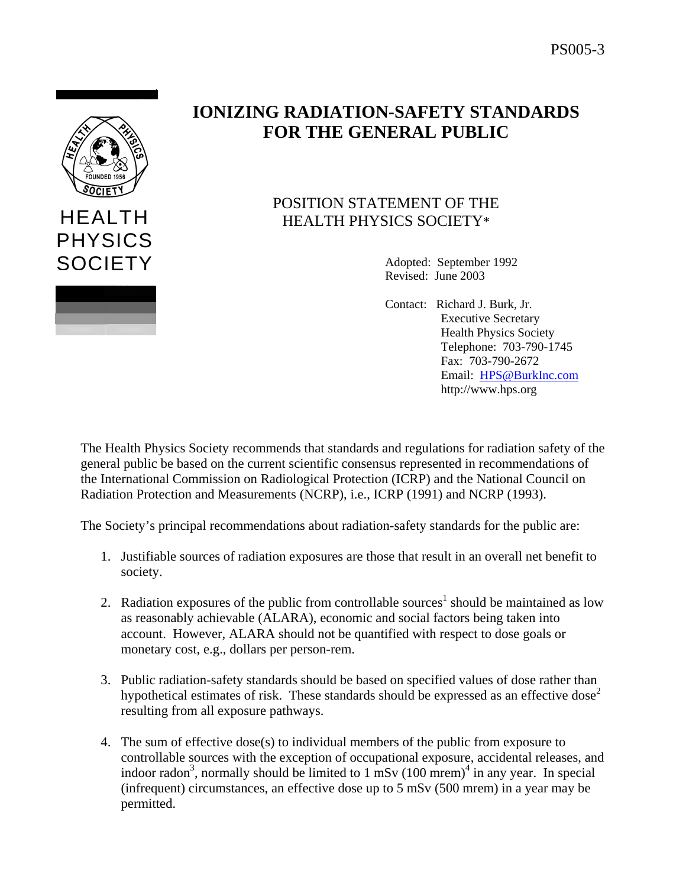

HEALTH

PHYSICS

**SOCIETY** 

## **IONIZING RADIATION-SAFETY STANDARDS FOR THE GENERAL PUBLIC**

## POSITION STATEMENT OF THE HEALTH PHYSICS SOCIETY\*

Adopted: September 1992 Revised: June 2003

Contact: Richard J. Burk, Jr. Executive Secretary Health Physics Society Telephone: 703-790-1745 Fax: 703-790-2672 Email: [HPS@BurkInc.com](mailto:HPS@BurkInc.com) http://www.hps.org

The Health Physics Society recommends that standards and regulations for radiation safety of the general public be based on the current scientific consensus represented in recommendations of the International Commission on Radiological Protection (ICRP) and the National Council on Radiation Protection and Measurements (NCRP), i.e., ICRP (1991) and NCRP (1993).

The Society's principal recommendations about radiation-safety standards for the public are:

- 1. Justifiable sources of radiation exposures are those that result in an overall net benefit to society.
- 2. Radiation exposures of the public from controllable sources<sup>1</sup> should be maintained as low as reasonably achievable (ALARA), economic and social factors being taken into account. However, ALARA should not be quantified with respect to dose goals or monetary cost, e.g., dollars per person-rem.
- 3. Public radiation-safety standards should be based on specified values of dose rather than hypothetical estimates of risk. These standards should be expressed as an effective dose<sup>2</sup> resulting from all exposure pathways.
- 4. The sum of effective dose(s) to individual members of the public from exposure to controllable sources with the exception of occupational exposure, accidental releases, and indoor radon<sup>3</sup>, normally should be limited to 1 mSv  $(100 \text{ mrem})^4$  in any year. In special (infrequent) circumstances, an effective dose up to 5 mSv (500 mrem) in a year may be permitted.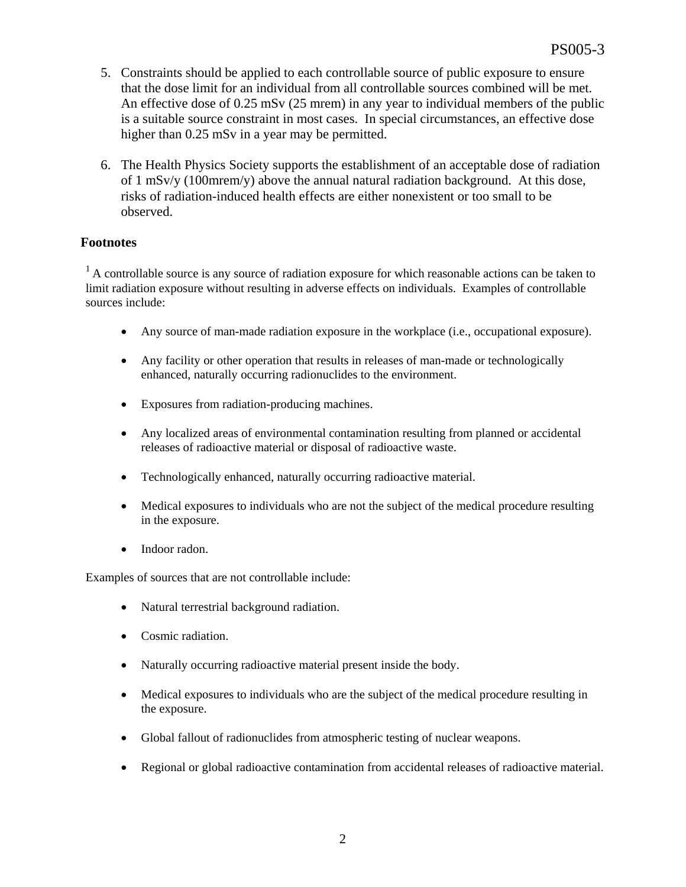- 5. Constraints should be applied to each controllable source of public exposure to ensure that the dose limit for an individual from all controllable sources combined will be met. An effective dose of 0.25 mSv (25 mrem) in any year to individual members of the public is a suitable source constraint in most cases. In special circumstances, an effective dose higher than  $0.25$  mSv in a year may be permitted.
- 6. The Health Physics Society supports the establishment of an acceptable dose of radiation of 1 mSv/y (100mrem/y) above the annual natural radiation background. At this dose, risks of radiation-induced health effects are either nonexistent or too small to be observed.

## **Footnotes**

<sup>1</sup> A controllable source is any source of radiation exposure for which reasonable actions can be taken to limit radiation exposure without resulting in adverse effects on individuals. Examples of controllable sources include:

- Any source of man-made radiation exposure in the workplace (i.e., occupational exposure).
- Any facility or other operation that results in releases of man-made or technologically enhanced, naturally occurring radionuclides to the environment.
- Exposures from radiation-producing machines.
- Any localized areas of environmental contamination resulting from planned or accidental releases of radioactive material or disposal of radioactive waste.
- Technologically enhanced, naturally occurring radioactive material.
- Medical exposures to individuals who are not the subject of the medical procedure resulting in the exposure.
- Indoor radon.

Examples of sources that are not controllable include:

- Natural terrestrial background radiation.
- Cosmic radiation.
- Naturally occurring radioactive material present inside the body.
- Medical exposures to individuals who are the subject of the medical procedure resulting in the exposure.
- Global fallout of radionuclides from atmospheric testing of nuclear weapons.
- Regional or global radioactive contamination from accidental releases of radioactive material.